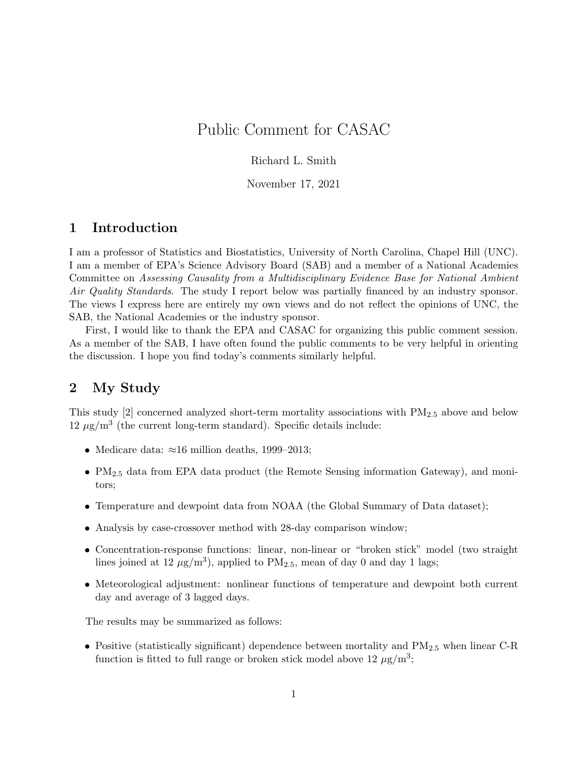## Public Comment for CASAC

#### Richard L. Smith

November 17, 2021

#### 1 Introduction

I am a professor of Statistics and Biostatistics, University of North Carolina, Chapel Hill (UNC). I am a member of EPA's Science Advisory Board (SAB) and a member of a National Academies Committee on Assessing Causality from a Multidisciplinary Evidence Base for National Ambient Air Quality Standards. The study I report below was partially financed by an industry sponsor. The views I express here are entirely my own views and do not reflect the opinions of UNC, the SAB, the National Academies or the industry sponsor.

First, I would like to thank the EPA and CASAC for organizing this public comment session. As a member of the SAB, I have often found the public comments to be very helpful in orienting the discussion. I hope you find today's comments similarly helpful.

#### 2 My Study

This study  $[2]$  concerned analyzed short-term mortality associations with  $PM_{2.5}$  above and below  $12 \mu g/m^3$  (the current long-term standard). Specific details include:

- Medicare data:  $\approx 16$  million deaths, 1999–2013;
- PM2.<sup>5</sup> data from EPA data product (the Remote Sensing information Gateway), and monitors;
- Temperature and dewpoint data from NOAA (the Global Summary of Data dataset);
- Analysis by case-crossover method with 28-day comparison window;
- Concentration-response functions: linear, non-linear or "broken stick" model (two straight lines joined at 12  $\mu$ g/m<sup>3</sup>), applied to PM<sub>2.5</sub>, mean of day 0 and day 1 lags;
- Meteorological adjustment: nonlinear functions of temperature and dewpoint both current day and average of 3 lagged days.

The results may be summarized as follows:

• Positive (statistically significant) dependence between mortality and  $PM_{2.5}$  when linear C-R function is fitted to full range or broken stick model above  $12 \mu g/m^3$ ;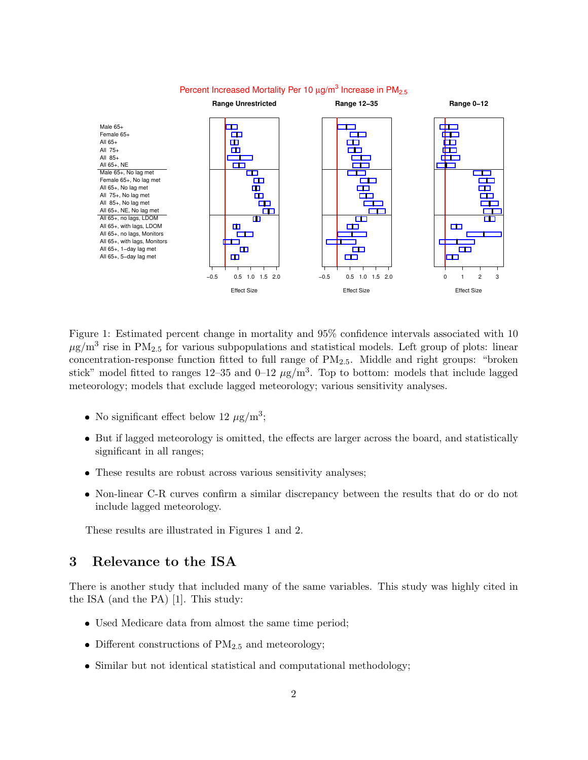

#### Figure 1: Estimated percent change in mortality and 95% confidence intervals associated with 10  $\mu$ g/m<sup>3</sup> rise in PM<sub>2.5</sub> for various subpopulations and statistical models. Left group of plots: linear concentration-response function fitted to full range of PM2.5. Middle and right groups: "broken stick" model fitted to ranges  $12-35$  and  $0-12 \mu g/m^3$ . Top to bottom: models that include lagged meteorology; models that exclude lagged meteorology; various sensitivity analyses.

- No significant effect below 12  $\mu$ g/m<sup>3</sup>;
- But if lagged meteorology is omitted, the effects are larger across the board, and statistically significant in all ranges;
- These results are robust across various sensitivity analyses;
- Non-linear C-R curves confirm a similar discrepancy between the results that do or do not include lagged meteorology.

These results are illustrated in Figures 1 and 2.

#### 3 Relevance to the ISA

There is another study that included many of the same variables. This study was highly cited in the ISA (and the PA) [1]. This study:

- Used Medicare data from almost the same time period;
- Different constructions of  $PM_{2.5}$  and meteorology;
- Similar but not identical statistical and computational methodology;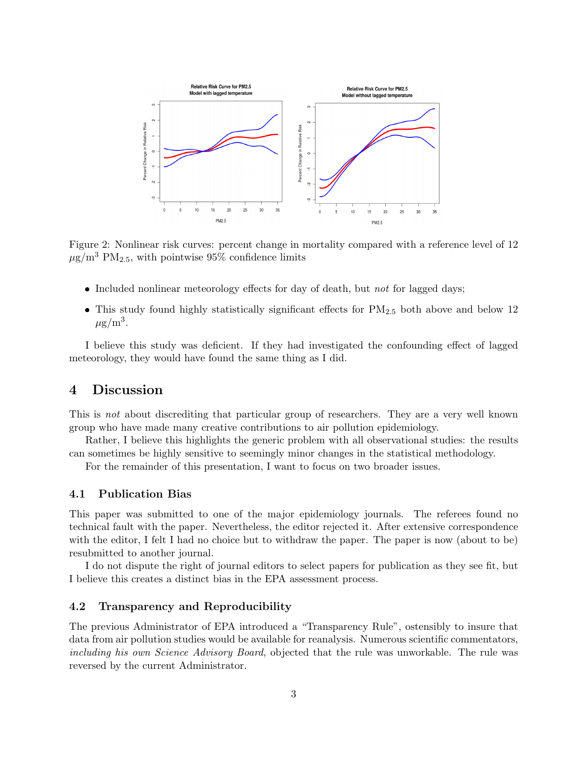

Figure 2: Nonlinear risk curves: percent change in mortality compared with a reference level of 12  $\mu$ g/m<sup>3</sup> PM<sub>2.5</sub>, with pointwise 95% confidence limits

- Included nonlinear meteorology effects for day of death, but *not* for lagged days;
- $\bullet$  This study found highly statistically significant effects for PM<sub>2.5</sub> both above and below 12  $\mu$ g/m<sup>3</sup>.

I believe this study was deficient. If they had investigated the confounding effect of lagged meteorology, they would have found the same thing as I did.

#### 4 Discussion

This is not about discrediting that particular group of researchers. They are a very well known group who have made many creative contributions to air pollution epidemiology.

Rather, I believe this highlights the generic problem with all observational studies: the results can sometimes be highly sensitive to seemingly minor changes in the statistical methodology.

For the remainder of this presentation, I want to focus on two broader issues.

#### 4.1 Publication Bias

This paper was submitted to one of the major epidemiology journals. The referees found no technical fault with the paper. Nevertheless, the editor rejected it. After extensive correspondence with the editor, I felt I had no choice but to withdraw the paper. The paper is now (about to be) resubmitted to another journal.

I do not dispute the right of journal editors to select papers for publication as they see fit, but I believe this creates a distinct bias in the EPA assessment process.

#### 4.2 Transparency and Reproducibility

The previous Administrator of EPA introduced a "Transparency Rule", ostensibly to insure that data from air pollution studies would be available for reanalysis. Numerous scientific commentators, including his own Science Advisory Board, objected that the rule was unworkable. The rule was reversed by the current Administrator.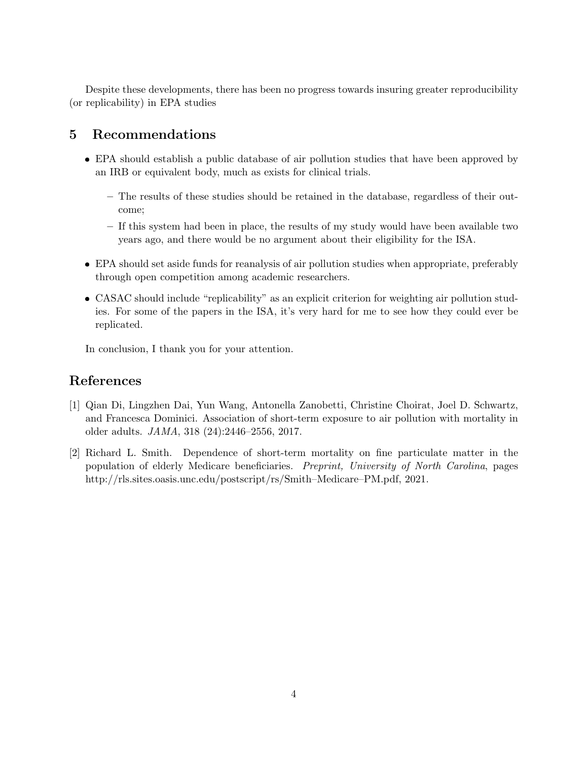Despite these developments, there has been no progress towards insuring greater reproducibility (or replicability) in EPA studies

#### 5 Recommendations

- EPA should establish a public database of air pollution studies that have been approved by an IRB or equivalent body, much as exists for clinical trials.
	- The results of these studies should be retained in the database, regardless of their outcome;
	- If this system had been in place, the results of my study would have been available two years ago, and there would be no argument about their eligibility for the ISA.
- EPA should set aside funds for reanalysis of air pollution studies when appropriate, preferably through open competition among academic researchers.
- CASAC should include "replicability" as an explicit criterion for weighting air pollution studies. For some of the papers in the ISA, it's very hard for me to see how they could ever be replicated.

In conclusion, I thank you for your attention.

#### References

- [1] Qian Di, Lingzhen Dai, Yun Wang, Antonella Zanobetti, Christine Choirat, Joel D. Schwartz, and Francesca Dominici. Association of short-term exposure to air pollution with mortality in older adults. JAMA, 318 (24):2446–2556, 2017.
- [2] Richard L. Smith. Dependence of short-term mortality on fine particulate matter in the population of elderly Medicare beneficiaries. Preprint, University of North Carolina, pages http://rls.sites.oasis.unc.edu/postscript/rs/Smith–Medicare–PM.pdf, 2021.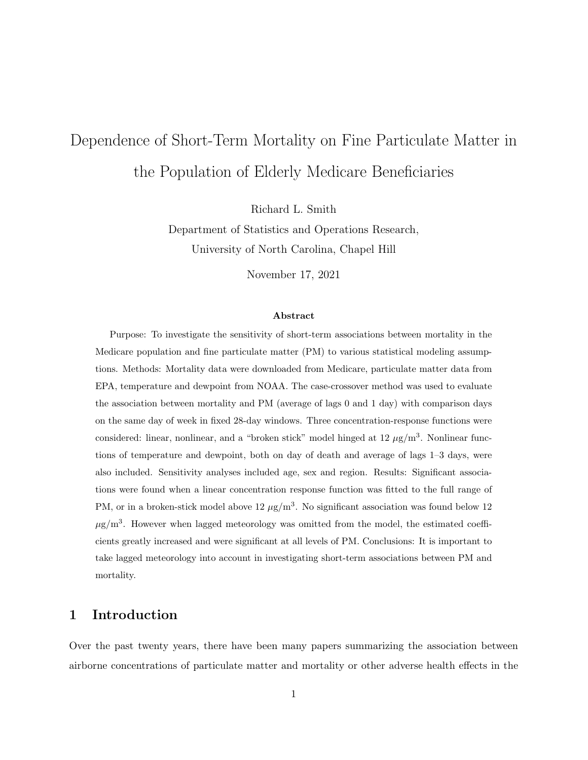# Dependence of Short-Term Mortality on Fine Particulate Matter in the Population of Elderly Medicare Beneficiaries

Richard L. Smith

Department of Statistics and Operations Research, University of North Carolina, Chapel Hill

November 17, 2021

#### Abstract

Purpose: To investigate the sensitivity of short-term associations between mortality in the Medicare population and fine particulate matter (PM) to various statistical modeling assumptions. Methods: Mortality data were downloaded from Medicare, particulate matter data from EPA, temperature and dewpoint from NOAA. The case-crossover method was used to evaluate the association between mortality and PM (average of lags 0 and 1 day) with comparison days on the same day of week in fixed 28-day windows. Three concentration-response functions were considered: linear, nonlinear, and a "broken stick" model hinged at  $12 \mu g/m<sup>3</sup>$ . Nonlinear functions of temperature and dewpoint, both on day of death and average of lags 1–3 days, were also included. Sensitivity analyses included age, sex and region. Results: Significant associations were found when a linear concentration response function was fitted to the full range of PM, or in a broken-stick model above  $12 \mu g/m^3$ . No significant association was found below 12  $\mu$ g/m<sup>3</sup>. However when lagged meteorology was omitted from the model, the estimated coefficients greatly increased and were significant at all levels of PM. Conclusions: It is important to take lagged meteorology into account in investigating short-term associations between PM and mortality.

## 1 Introduction

Over the past twenty years, there have been many papers summarizing the association between airborne concentrations of particulate matter and mortality or other adverse health effects in the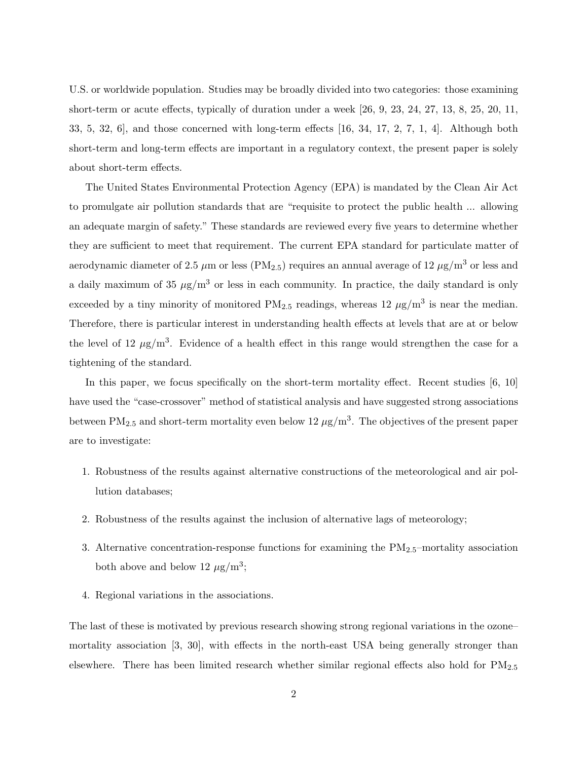U.S. or worldwide population. Studies may be broadly divided into two categories: those examining short-term or acute effects, typically of duration under a week [26, 9, 23, 24, 27, 13, 8, 25, 20, 11, 33, 5, 32, 6], and those concerned with long-term effects [16, 34, 17, 2, 7, 1, 4]. Although both short-term and long-term effects are important in a regulatory context, the present paper is solely about short-term effects.

The United States Environmental Protection Agency (EPA) is mandated by the Clean Air Act to promulgate air pollution standards that are "requisite to protect the public health ... allowing an adequate margin of safety." These standards are reviewed every five years to determine whether they are sufficient to meet that requirement. The current EPA standard for particulate matter of aerodynamic diameter of 2.5  $\mu$ m or less (PM<sub>2.5</sub>) requires an annual average of 12  $\mu$ g/m<sup>3</sup> or less and a daily maximum of 35  $\mu$ g/m<sup>3</sup> or less in each community. In practice, the daily standard is only exceeded by a tiny minority of monitored  $PM_{2.5}$  readings, whereas  $12 \mu g/m^3$  is near the median. Therefore, there is particular interest in understanding health effects at levels that are at or below the level of 12  $\mu$ g/m<sup>3</sup>. Evidence of a health effect in this range would strengthen the case for a tightening of the standard.

In this paper, we focus specifically on the short-term mortality effect. Recent studies [6, 10] have used the "case-crossover" method of statistical analysis and have suggested strong associations between  $PM_{2.5}$  and short-term mortality even below 12  $\mu$ g/m<sup>3</sup>. The objectives of the present paper are to investigate:

- 1. Robustness of the results against alternative constructions of the meteorological and air pollution databases;
- 2. Robustness of the results against the inclusion of alternative lags of meteorology;
- 3. Alternative concentration-response functions for examining the  $PM_{2.5}$ -mortality association both above and below 12  $\mu$ g/m<sup>3</sup>;
- 4. Regional variations in the associations.

The last of these is motivated by previous research showing strong regional variations in the ozone– mortality association [3, 30], with effects in the north-east USA being generally stronger than elsewhere. There has been limited research whether similar regional effects also hold for PM2.<sup>5</sup>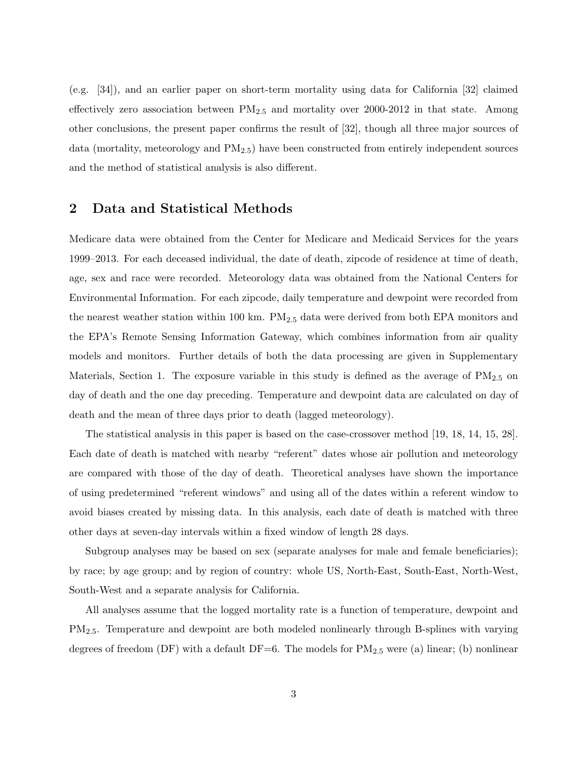(e.g. [34]), and an earlier paper on short-term mortality using data for California [32] claimed effectively zero association between  $PM_{2.5}$  and mortality over 2000-2012 in that state. Among other conclusions, the present paper confirms the result of [32], though all three major sources of data (mortality, meteorology and  $PM_{2.5}$ ) have been constructed from entirely independent sources and the method of statistical analysis is also different.

#### 2 Data and Statistical Methods

Medicare data were obtained from the Center for Medicare and Medicaid Services for the years 1999–2013. For each deceased individual, the date of death, zipcode of residence at time of death, age, sex and race were recorded. Meteorology data was obtained from the National Centers for Environmental Information. For each zipcode, daily temperature and dewpoint were recorded from the nearest weather station within 100 km.  $PM_{2.5}$  data were derived from both EPA monitors and the EPA's Remote Sensing Information Gateway, which combines information from air quality models and monitors. Further details of both the data processing are given in Supplementary Materials, Section 1. The exposure variable in this study is defined as the average of  $PM_{2.5}$  on day of death and the one day preceding. Temperature and dewpoint data are calculated on day of death and the mean of three days prior to death (lagged meteorology).

The statistical analysis in this paper is based on the case-crossover method [19, 18, 14, 15, 28]. Each date of death is matched with nearby "referent" dates whose air pollution and meteorology are compared with those of the day of death. Theoretical analyses have shown the importance of using predetermined "referent windows" and using all of the dates within a referent window to avoid biases created by missing data. In this analysis, each date of death is matched with three other days at seven-day intervals within a fixed window of length 28 days.

Subgroup analyses may be based on sex (separate analyses for male and female beneficiaries); by race; by age group; and by region of country: whole US, North-East, South-East, North-West, South-West and a separate analysis for California.

All analyses assume that the logged mortality rate is a function of temperature, dewpoint and PM2.5. Temperature and dewpoint are both modeled nonlinearly through B-splines with varying degrees of freedom (DF) with a default DF=6. The models for  $PM_{2.5}$  were (a) linear; (b) nonlinear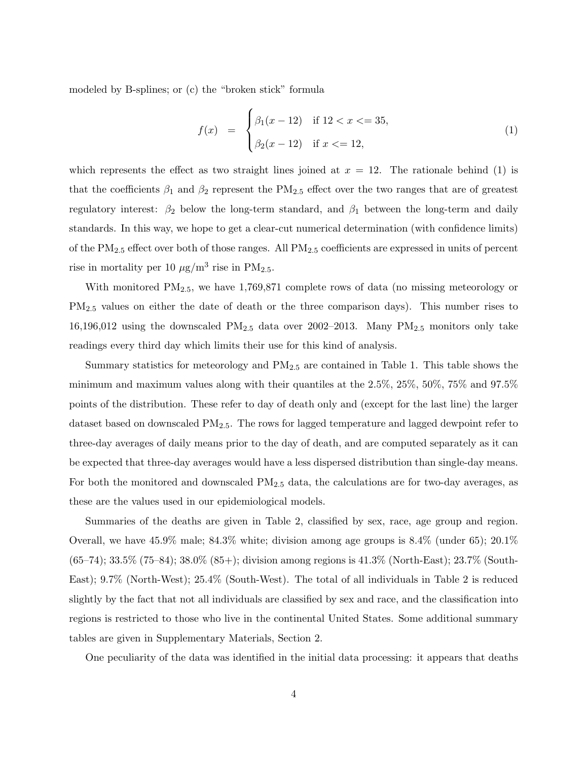modeled by B-splines; or (c) the "broken stick" formula

$$
f(x) = \begin{cases} \beta_1(x - 12) & \text{if } 12 < x < = 35, \\ \beta_2(x - 12) & \text{if } x < = 12, \end{cases}
$$
 (1)

which represents the effect as two straight lines joined at  $x = 12$ . The rationale behind (1) is that the coefficients  $\beta_1$  and  $\beta_2$  represent the PM<sub>2.5</sub> effect over the two ranges that are of greatest regulatory interest:  $\beta_2$  below the long-term standard, and  $\beta_1$  between the long-term and daily standards. In this way, we hope to get a clear-cut numerical determination (with confidence limits) of the PM2.<sup>5</sup> effect over both of those ranges. All PM2.<sup>5</sup> coefficients are expressed in units of percent rise in mortality per 10  $\mu$ g/m<sup>3</sup> rise in PM<sub>2.5</sub>.

With monitored  $PM_{2.5}$ , we have 1,769,871 complete rows of data (no missing meteorology or PM2.<sup>5</sup> values on either the date of death or the three comparison days). This number rises to 16,196,012 using the downscaled  $PM_{2.5}$  data over 2002–2013. Many  $PM_{2.5}$  monitors only take readings every third day which limits their use for this kind of analysis.

Summary statistics for meteorology and PM2.<sup>5</sup> are contained in Table 1. This table shows the minimum and maximum values along with their quantiles at the 2.5%, 25%, 50%, 75% and 97.5% points of the distribution. These refer to day of death only and (except for the last line) the larger dataset based on downscaled  $PM_{2.5}$ . The rows for lagged temperature and lagged dewpoint refer to three-day averages of daily means prior to the day of death, and are computed separately as it can be expected that three-day averages would have a less dispersed distribution than single-day means. For both the monitored and downscaled  $PM_{2.5}$  data, the calculations are for two-day averages, as these are the values used in our epidemiological models.

Summaries of the deaths are given in Table 2, classified by sex, race, age group and region. Overall, we have 45.9% male; 84.3% white; division among age groups is 8.4% (under 65); 20.1% (65–74); 33.5% (75–84); 38.0% (85+); division among regions is 41.3% (North-East); 23.7% (South-East); 9.7% (North-West); 25.4% (South-West). The total of all individuals in Table 2 is reduced slightly by the fact that not all individuals are classified by sex and race, and the classification into regions is restricted to those who live in the continental United States. Some additional summary tables are given in Supplementary Materials, Section 2.

One peculiarity of the data was identified in the initial data processing: it appears that deaths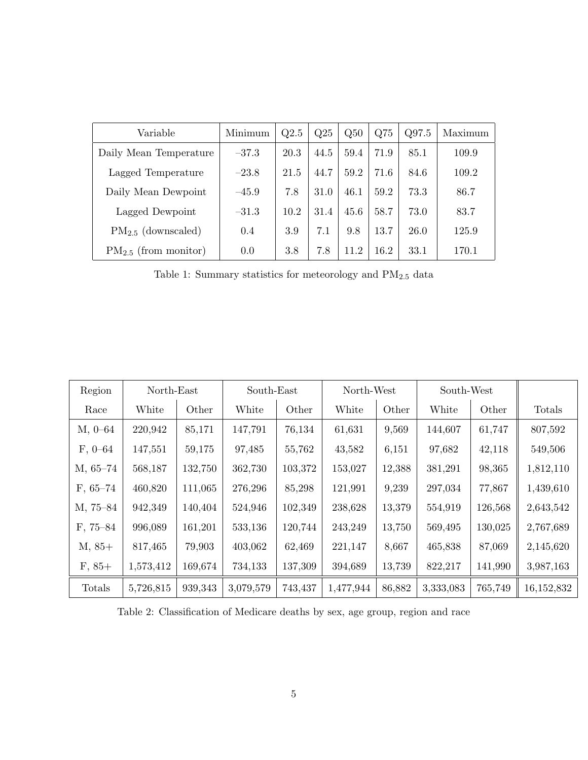| Variable                  | Minimum | Q2.5 | Q25  | Q50  | Q <sub>75</sub> | Q97.5 | Maximum |
|---------------------------|---------|------|------|------|-----------------|-------|---------|
| Daily Mean Temperature    | $-37.3$ | 20.3 | 44.5 | 59.4 | 71.9            | 85.1  | 109.9   |
| Lagged Temperature        | $-23.8$ | 21.5 | 44.7 | 59.2 | 71.6            | 84.6  | 109.2   |
| Daily Mean Dewpoint       | $-45.9$ | 7.8  | 31.0 | 46.1 | 59.2            | 73.3  | 86.7    |
| Lagged Dewpoint           | $-31.3$ | 10.2 | 31.4 | 45.6 | 58.7            | 73.0  | 83.7    |
| $PM_{2.5}$ (downscaled)   | 0.4     | 3.9  | 7.1  | 9.8  | 13.7            | 26.0  | 125.9   |
| $PM_{2.5}$ (from monitor) | 0.0     | 3.8  | 7.8  | 11.2 | 16.2            | 33.1  | 170.1   |

Table 1: Summary statistics for meteorology and  $\mathrm{PM_{2.5}}$  data

| Region     | North-East |         | South-East |         | North-West |        | South-West |         |            |
|------------|------------|---------|------------|---------|------------|--------|------------|---------|------------|
| Race       | White      | Other   | White      | Other   | White      | Other  | White      | Other   | Totals     |
| $M, 0-64$  | 220,942    | 85,171  | 147,791    | 76,134  | 61,631     | 9,569  | 144,607    | 61,747  | 807,592    |
| $F, 0-64$  | 147,551    | 59,175  | 97,485     | 55,762  | 43,582     | 6,151  | 97,682     | 42,118  | 549,506    |
| M, 65–74   | 568,187    | 132,750 | 362,730    | 103,372 | 153,027    | 12,388 | 381,291    | 98,365  | 1,812,110  |
| $F, 65-74$ | 460,820    | 111,065 | 276,296    | 85,298  | 121,991    | 9,239  | 297,034    | 77,867  | 1,439,610  |
| M, 75-84   | 942,349    | 140,404 | 524,946    | 102,349 | 238,628    | 13,379 | 554,919    | 126,568 | 2,643,542  |
| F, 75–84   | 996,089    | 161,201 | 533,136    | 120,744 | 243,249    | 13,750 | 569,495    | 130,025 | 2,767,689  |
| $M, 85+$   | 817,465    | 79,903  | 403,062    | 62,469  | 221,147    | 8,667  | 465,838    | 87,069  | 2,145,620  |
| $F, 85+$   | 1,573,412  | 169,674 | 734,133    | 137,309 | 394,689    | 13,739 | 822,217    | 141,990 | 3,987,163  |
| Totals     | 5,726,815  | 939,343 | 3,079,579  | 743,437 | 1,477,944  | 86,882 | 3,333,083  | 765,749 | 16,152,832 |

Table 2: Classification of Medicare deaths by sex, age group, region and race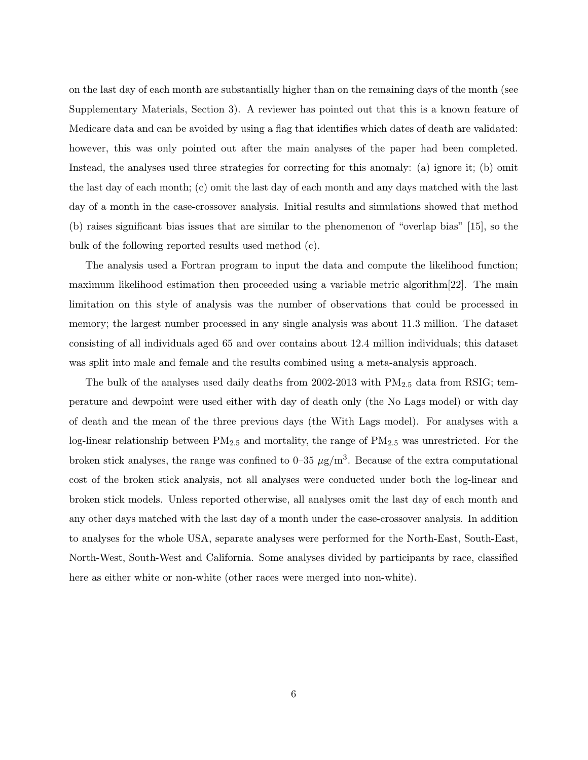on the last day of each month are substantially higher than on the remaining days of the month (see Supplementary Materials, Section 3). A reviewer has pointed out that this is a known feature of Medicare data and can be avoided by using a flag that identifies which dates of death are validated: however, this was only pointed out after the main analyses of the paper had been completed. Instead, the analyses used three strategies for correcting for this anomaly: (a) ignore it; (b) omit the last day of each month; (c) omit the last day of each month and any days matched with the last day of a month in the case-crossover analysis. Initial results and simulations showed that method (b) raises significant bias issues that are similar to the phenomenon of "overlap bias" [15], so the bulk of the following reported results used method (c).

The analysis used a Fortran program to input the data and compute the likelihood function; maximum likelihood estimation then proceeded using a variable metric algorithm[22]. The main limitation on this style of analysis was the number of observations that could be processed in memory; the largest number processed in any single analysis was about 11.3 million. The dataset consisting of all individuals aged 65 and over contains about 12.4 million individuals; this dataset was split into male and female and the results combined using a meta-analysis approach.

The bulk of the analyses used daily deaths from  $2002-2013$  with  $PM_{2.5}$  data from RSIG; temperature and dewpoint were used either with day of death only (the No Lags model) or with day of death and the mean of the three previous days (the With Lags model). For analyses with a log-linear relationship between PM2.<sup>5</sup> and mortality, the range of PM2.<sup>5</sup> was unrestricted. For the broken stick analyses, the range was confined to 0–35  $\mu$ g/m<sup>3</sup>. Because of the extra computational cost of the broken stick analysis, not all analyses were conducted under both the log-linear and broken stick models. Unless reported otherwise, all analyses omit the last day of each month and any other days matched with the last day of a month under the case-crossover analysis. In addition to analyses for the whole USA, separate analyses were performed for the North-East, South-East, North-West, South-West and California. Some analyses divided by participants by race, classified here as either white or non-white (other races were merged into non-white).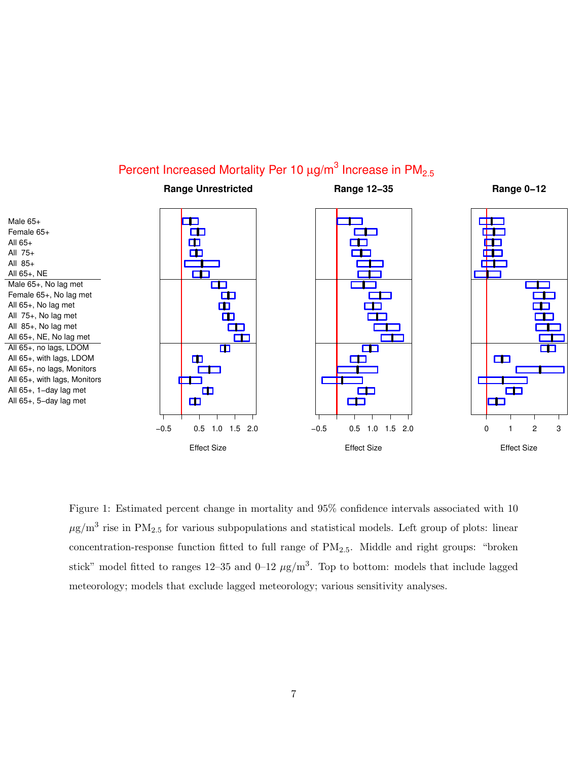## Percent Increased Mortality Per 10  $\mu$ g/m $^3$  Increase in PM<sub>2.5</sub>



Figure 1: Estimated percent change in mortality and 95% confidence intervals associated with 10  $\mu$ g/m<sup>3</sup> rise in PM<sub>2.5</sub> for various subpopulations and statistical models. Left group of plots: linear concentration-response function fitted to full range of  $PM_{2.5}$ . Middle and right groups: "broken stick" model fitted to ranges  $12-35$  and  $0-12 \mu g/m^3$ . Top to bottom: models that include lagged meteorology; models that exclude lagged meteorology; various sensitivity analyses.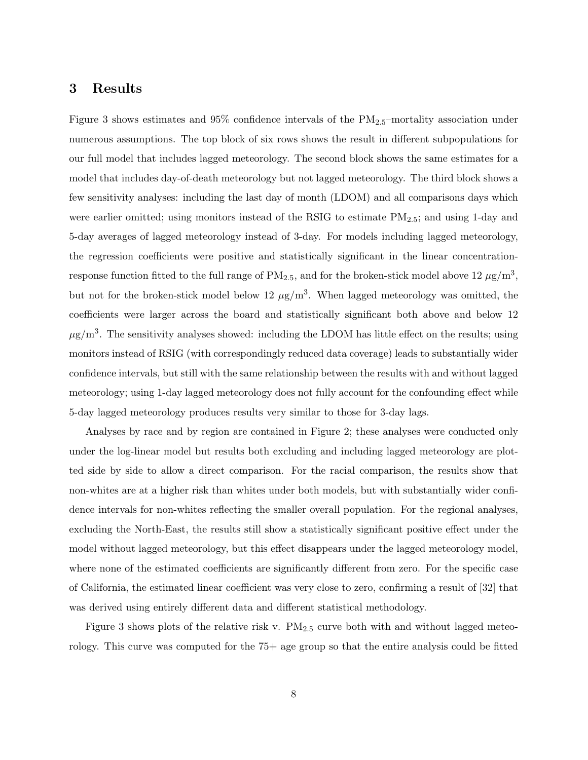#### 3 Results

Figure 3 shows estimates and  $95\%$  confidence intervals of the  $PM_{2.5}$ -mortality association under numerous assumptions. The top block of six rows shows the result in different subpopulations for our full model that includes lagged meteorology. The second block shows the same estimates for a model that includes day-of-death meteorology but not lagged meteorology. The third block shows a few sensitivity analyses: including the last day of month (LDOM) and all comparisons days which were earlier omitted; using monitors instead of the RSIG to estimate PM2.5; and using 1-day and 5-day averages of lagged meteorology instead of 3-day. For models including lagged meteorology, the regression coefficients were positive and statistically significant in the linear concentrationresponse function fitted to the full range of  $PM_{2.5}$ , and for the broken-stick model above 12  $\mu$ g/m<sup>3</sup>, but not for the broken-stick model below 12  $\mu$ g/m<sup>3</sup>. When lagged meteorology was omitted, the coefficients were larger across the board and statistically significant both above and below 12  $\mu$ g/m<sup>3</sup>. The sensitivity analyses showed: including the LDOM has little effect on the results; using monitors instead of RSIG (with correspondingly reduced data coverage) leads to substantially wider confidence intervals, but still with the same relationship between the results with and without lagged meteorology; using 1-day lagged meteorology does not fully account for the confounding effect while 5-day lagged meteorology produces results very similar to those for 3-day lags.

Analyses by race and by region are contained in Figure 2; these analyses were conducted only under the log-linear model but results both excluding and including lagged meteorology are plotted side by side to allow a direct comparison. For the racial comparison, the results show that non-whites are at a higher risk than whites under both models, but with substantially wider confidence intervals for non-whites reflecting the smaller overall population. For the regional analyses, excluding the North-East, the results still show a statistically significant positive effect under the model without lagged meteorology, but this effect disappears under the lagged meteorology model, where none of the estimated coefficients are significantly different from zero. For the specific case of California, the estimated linear coefficient was very close to zero, confirming a result of [32] that was derived using entirely different data and different statistical methodology.

Figure 3 shows plots of the relative risk v.  $PM_{2.5}$  curve both with and without lagged meteorology. This curve was computed for the  $75+$  age group so that the entire analysis could be fitted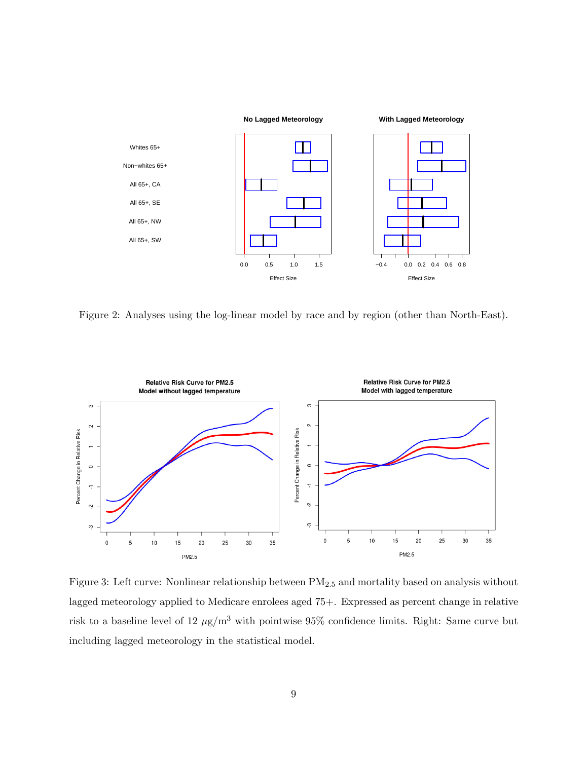

Figure 2: Analyses using the log-linear model by race and by region (other than North-East).



Figure 3: Left curve: Nonlinear relationship between PM2.<sup>5</sup> and mortality based on analysis without lagged meteorology applied to Medicare enrolees aged 75+. Expressed as percent change in relative risk to a baseline level of 12  $\mu$ g/m<sup>3</sup> with pointwise 95% confidence limits. Right: Same curve but including lagged meteorology in the statistical model.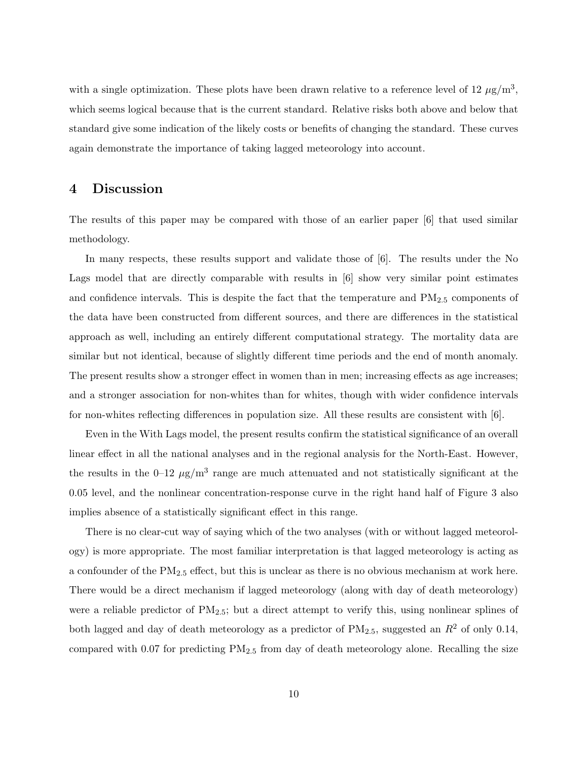with a single optimization. These plots have been drawn relative to a reference level of 12  $\mu$ g/m<sup>3</sup>, which seems logical because that is the current standard. Relative risks both above and below that standard give some indication of the likely costs or benefits of changing the standard. These curves again demonstrate the importance of taking lagged meteorology into account.

#### 4 Discussion

The results of this paper may be compared with those of an earlier paper [6] that used similar methodology.

In many respects, these results support and validate those of [6]. The results under the No Lags model that are directly comparable with results in [6] show very similar point estimates and confidence intervals. This is despite the fact that the temperature and  $PM_{2.5}$  components of the data have been constructed from different sources, and there are differences in the statistical approach as well, including an entirely different computational strategy. The mortality data are similar but not identical, because of slightly different time periods and the end of month anomaly. The present results show a stronger effect in women than in men; increasing effects as age increases; and a stronger association for non-whites than for whites, though with wider confidence intervals for non-whites reflecting differences in population size. All these results are consistent with [6].

Even in the With Lags model, the present results confirm the statistical significance of an overall linear effect in all the national analyses and in the regional analysis for the North-East. However, the results in the 0–12  $\mu$ g/m<sup>3</sup> range are much attenuated and not statistically significant at the 0.05 level, and the nonlinear concentration-response curve in the right hand half of Figure 3 also implies absence of a statistically significant effect in this range.

There is no clear-cut way of saying which of the two analyses (with or without lagged meteorology) is more appropriate. The most familiar interpretation is that lagged meteorology is acting as a confounder of the PM2.<sup>5</sup> effect, but this is unclear as there is no obvious mechanism at work here. There would be a direct mechanism if lagged meteorology (along with day of death meteorology) were a reliable predictor of  $PM_{2.5}$ ; but a direct attempt to verify this, using nonlinear splines of both lagged and day of death meteorology as a predictor of  $PM_{2.5}$ , suggested an  $R^2$  of only 0.14, compared with 0.07 for predicting  $PM_{2.5}$  from day of death meteorology alone. Recalling the size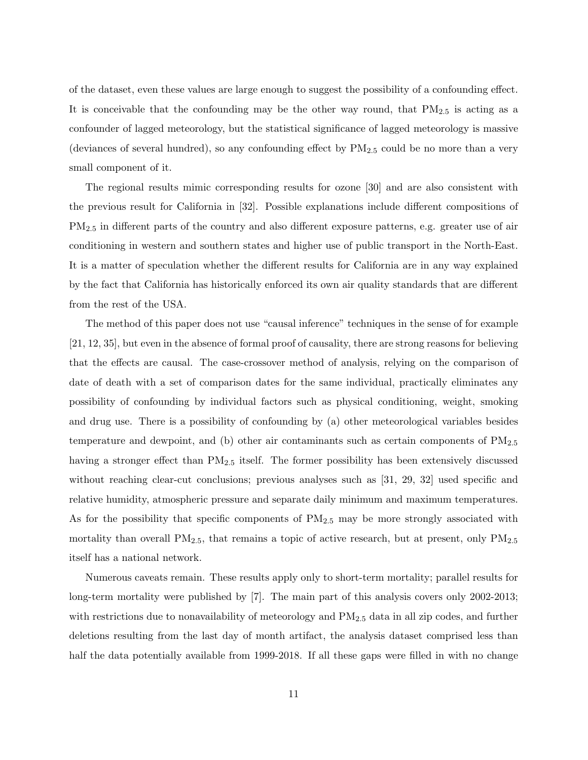of the dataset, even these values are large enough to suggest the possibility of a confounding effect. It is conceivable that the confounding may be the other way round, that  $PM_{2.5}$  is acting as a confounder of lagged meteorology, but the statistical significance of lagged meteorology is massive (deviances of several hundred), so any confounding effect by  $PM_{2.5}$  could be no more than a very small component of it.

The regional results mimic corresponding results for ozone [30] and are also consistent with the previous result for California in [32]. Possible explanations include different compositions of PM2.<sup>5</sup> in different parts of the country and also different exposure patterns, e.g. greater use of air conditioning in western and southern states and higher use of public transport in the North-East. It is a matter of speculation whether the different results for California are in any way explained by the fact that California has historically enforced its own air quality standards that are different from the rest of the USA.

The method of this paper does not use "causal inference" techniques in the sense of for example [21, 12, 35], but even in the absence of formal proof of causality, there are strong reasons for believing that the effects are causal. The case-crossover method of analysis, relying on the comparison of date of death with a set of comparison dates for the same individual, practically eliminates any possibility of confounding by individual factors such as physical conditioning, weight, smoking and drug use. There is a possibility of confounding by (a) other meteorological variables besides temperature and dewpoint, and (b) other air contaminants such as certain components of PM2.<sup>5</sup> having a stronger effect than  $PM_{2.5}$  itself. The former possibility has been extensively discussed without reaching clear-cut conclusions; previous analyses such as [31, 29, 32] used specific and relative humidity, atmospheric pressure and separate daily minimum and maximum temperatures. As for the possibility that specific components of  $PM_{2.5}$  may be more strongly associated with mortality than overall  $PM_{2.5}$ , that remains a topic of active research, but at present, only  $PM_{2.5}$ itself has a national network.

Numerous caveats remain. These results apply only to short-term mortality; parallel results for long-term mortality were published by [7]. The main part of this analysis covers only 2002-2013; with restrictions due to nonavailability of meteorology and  $PM_{2.5}$  data in all zip codes, and further deletions resulting from the last day of month artifact, the analysis dataset comprised less than half the data potentially available from 1999-2018. If all these gaps were filled in with no change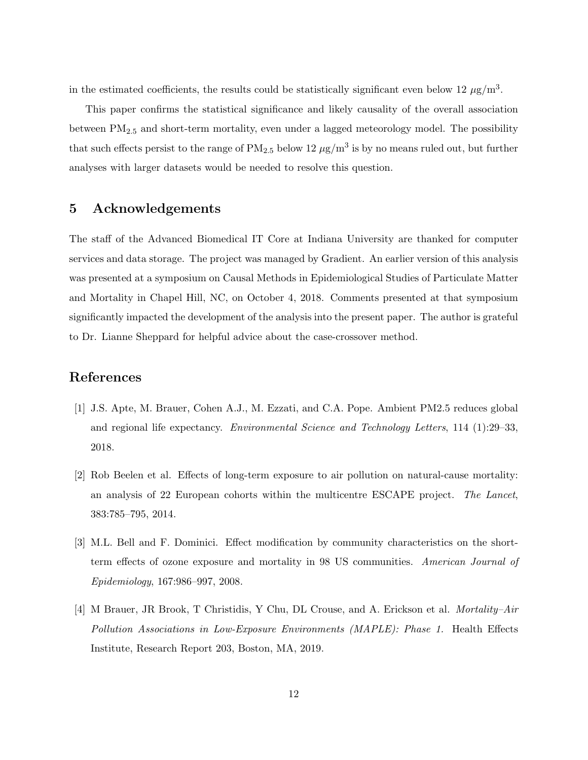in the estimated coefficients, the results could be statistically significant even below 12  $\mu$ g/m<sup>3</sup>.

This paper confirms the statistical significance and likely causality of the overall association between PM2.<sup>5</sup> and short-term mortality, even under a lagged meteorology model. The possibility that such effects persist to the range of  $PM_{2.5}$  below 12  $\mu$ g/m<sup>3</sup> is by no means ruled out, but further analyses with larger datasets would be needed to resolve this question.

#### 5 Acknowledgements

The staff of the Advanced Biomedical IT Core at Indiana University are thanked for computer services and data storage. The project was managed by Gradient. An earlier version of this analysis was presented at a symposium on Causal Methods in Epidemiological Studies of Particulate Matter and Mortality in Chapel Hill, NC, on October 4, 2018. Comments presented at that symposium significantly impacted the development of the analysis into the present paper. The author is grateful to Dr. Lianne Sheppard for helpful advice about the case-crossover method.

## References

- [1] J.S. Apte, M. Brauer, Cohen A.J., M. Ezzati, and C.A. Pope. Ambient PM2.5 reduces global and regional life expectancy. Environmental Science and Technology Letters, 114 (1):29–33, 2018.
- [2] Rob Beelen et al. Effects of long-term exposure to air pollution on natural-cause mortality: an analysis of 22 European cohorts within the multicentre ESCAPE project. The Lancet, 383:785–795, 2014.
- [3] M.L. Bell and F. Dominici. Effect modification by community characteristics on the shortterm effects of ozone exposure and mortality in 98 US communities. American Journal of Epidemiology, 167:986–997, 2008.
- [4] M Brauer, JR Brook, T Christidis, Y Chu, DL Crouse, and A. Erickson et al. Mortality–Air Pollution Associations in Low-Exposure Environments (MAPLE): Phase 1. Health Effects Institute, Research Report 203, Boston, MA, 2019.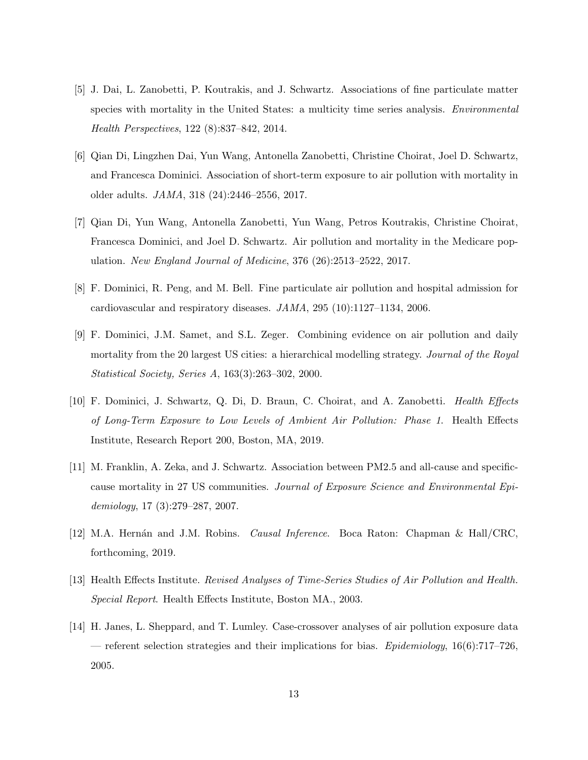- [5] J. Dai, L. Zanobetti, P. Koutrakis, and J. Schwartz. Associations of fine particulate matter species with mortality in the United States: a multicity time series analysis. *Environmental* Health Perspectives, 122 (8):837–842, 2014.
- [6] Qian Di, Lingzhen Dai, Yun Wang, Antonella Zanobetti, Christine Choirat, Joel D. Schwartz, and Francesca Dominici. Association of short-term exposure to air pollution with mortality in older adults. JAMA, 318 (24):2446–2556, 2017.
- [7] Qian Di, Yun Wang, Antonella Zanobetti, Yun Wang, Petros Koutrakis, Christine Choirat, Francesca Dominici, and Joel D. Schwartz. Air pollution and mortality in the Medicare population. New England Journal of Medicine, 376 (26):2513–2522, 2017.
- [8] F. Dominici, R. Peng, and M. Bell. Fine particulate air pollution and hospital admission for cardiovascular and respiratory diseases. JAMA, 295 (10):1127–1134, 2006.
- [9] F. Dominici, J.M. Samet, and S.L. Zeger. Combining evidence on air pollution and daily mortality from the 20 largest US cities: a hierarchical modelling strategy. Journal of the Royal Statistical Society, Series A, 163(3):263–302, 2000.
- [10] F. Dominici, J. Schwartz, Q. Di, D. Braun, C. Choirat, and A. Zanobetti. Health Effects of Long-Term Exposure to Low Levels of Ambient Air Pollution: Phase 1. Health Effects Institute, Research Report 200, Boston, MA, 2019.
- [11] M. Franklin, A. Zeka, and J. Schwartz. Association between PM2.5 and all-cause and specificcause mortality in 27 US communities. Journal of Exposure Science and Environmental Epidemiology, 17 (3):279–287, 2007.
- [12] M.A. Hernán and J.M. Robins. *Causal Inference*. Boca Raton: Chapman & Hall/CRC, forthcoming, 2019.
- [13] Health Effects Institute. Revised Analyses of Time-Series Studies of Air Pollution and Health. Special Report. Health Effects Institute, Boston MA., 2003.
- [14] H. Janes, L. Sheppard, and T. Lumley. Case-crossover analyses of air pollution exposure data — referent selection strategies and their implications for bias. *Epidemiology*, 16(6):717–726, 2005.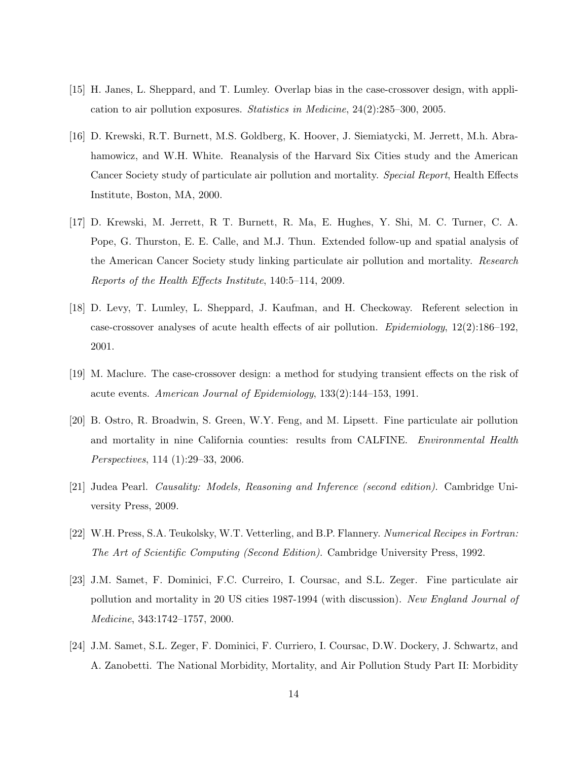- [15] H. Janes, L. Sheppard, and T. Lumley. Overlap bias in the case-crossover design, with application to air pollution exposures. Statistics in Medicine, 24(2):285–300, 2005.
- [16] D. Krewski, R.T. Burnett, M.S. Goldberg, K. Hoover, J. Siemiatycki, M. Jerrett, M.h. Abrahamowicz, and W.H. White. Reanalysis of the Harvard Six Cities study and the American Cancer Society study of particulate air pollution and mortality. Special Report, Health Effects Institute, Boston, MA, 2000.
- [17] D. Krewski, M. Jerrett, R T. Burnett, R. Ma, E. Hughes, Y. Shi, M. C. Turner, C. A. Pope, G. Thurston, E. E. Calle, and M.J. Thun. Extended follow-up and spatial analysis of the American Cancer Society study linking particulate air pollution and mortality. Research Reports of the Health Effects Institute, 140:5–114, 2009.
- [18] D. Levy, T. Lumley, L. Sheppard, J. Kaufman, and H. Checkoway. Referent selection in case-crossover analyses of acute health effects of air pollution. Epidemiology, 12(2):186–192, 2001.
- [19] M. Maclure. The case-crossover design: a method for studying transient effects on the risk of acute events. American Journal of Epidemiology, 133(2):144–153, 1991.
- [20] B. Ostro, R. Broadwin, S. Green, W.Y. Feng, and M. Lipsett. Fine particulate air pollution and mortality in nine California counties: results from CALFINE. Environmental Health Perspectives, 114 (1):29–33, 2006.
- [21] Judea Pearl. Causality: Models, Reasoning and Inference (second edition). Cambridge University Press, 2009.
- [22] W.H. Press, S.A. Teukolsky, W.T. Vetterling, and B.P. Flannery. Numerical Recipes in Fortran: The Art of Scientific Computing (Second Edition). Cambridge University Press, 1992.
- [23] J.M. Samet, F. Dominici, F.C. Curreiro, I. Coursac, and S.L. Zeger. Fine particulate air pollution and mortality in 20 US cities 1987-1994 (with discussion). New England Journal of Medicine, 343:1742–1757, 2000.
- [24] J.M. Samet, S.L. Zeger, F. Dominici, F. Curriero, I. Coursac, D.W. Dockery, J. Schwartz, and A. Zanobetti. The National Morbidity, Mortality, and Air Pollution Study Part II: Morbidity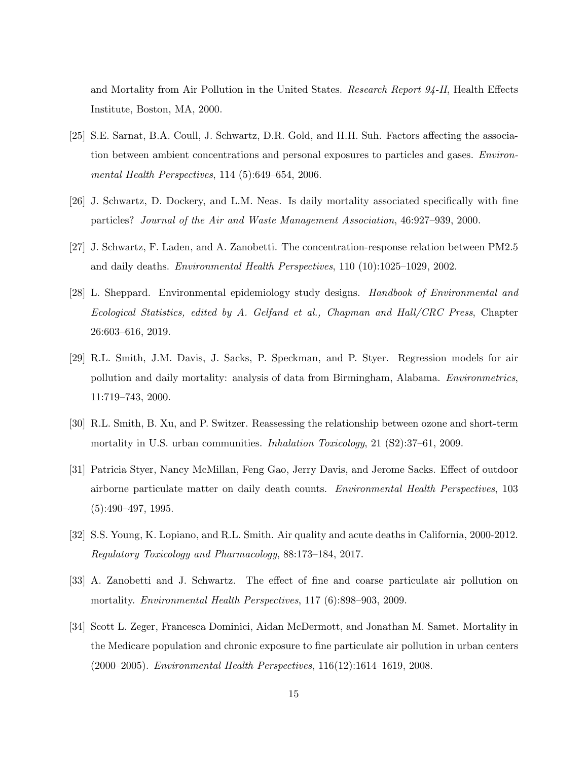and Mortality from Air Pollution in the United States. Research Report 94-II, Health Effects Institute, Boston, MA, 2000.

- [25] S.E. Sarnat, B.A. Coull, J. Schwartz, D.R. Gold, and H.H. Suh. Factors affecting the association between ambient concentrations and personal exposures to particles and gases. Environmental Health Perspectives, 114 (5):649–654, 2006.
- [26] J. Schwartz, D. Dockery, and L.M. Neas. Is daily mortality associated specifically with fine particles? Journal of the Air and Waste Management Association, 46:927–939, 2000.
- [27] J. Schwartz, F. Laden, and A. Zanobetti. The concentration-response relation between PM2.5 and daily deaths. Environmental Health Perspectives, 110 (10):1025–1029, 2002.
- [28] L. Sheppard. Environmental epidemiology study designs. Handbook of Environmental and Ecological Statistics, edited by A. Gelfand et al., Chapman and Hall/CRC Press, Chapter 26:603–616, 2019.
- [29] R.L. Smith, J.M. Davis, J. Sacks, P. Speckman, and P. Styer. Regression models for air pollution and daily mortality: analysis of data from Birmingham, Alabama. Environmetrics, 11:719–743, 2000.
- [30] R.L. Smith, B. Xu, and P. Switzer. Reassessing the relationship between ozone and short-term mortality in U.S. urban communities. *Inhalation Toxicology*, 21 (S2):37–61, 2009.
- [31] Patricia Styer, Nancy McMillan, Feng Gao, Jerry Davis, and Jerome Sacks. Effect of outdoor airborne particulate matter on daily death counts. Environmental Health Perspectives, 103  $(5):490-497, 1995.$
- [32] S.S. Young, K. Lopiano, and R.L. Smith. Air quality and acute deaths in California, 2000-2012. Regulatory Toxicology and Pharmacology, 88:173–184, 2017.
- [33] A. Zanobetti and J. Schwartz. The effect of fine and coarse particulate air pollution on mortality. Environmental Health Perspectives, 117 (6):898–903, 2009.
- [34] Scott L. Zeger, Francesca Dominici, Aidan McDermott, and Jonathan M. Samet. Mortality in the Medicare population and chronic exposure to fine particulate air pollution in urban centers (2000–2005). Environmental Health Perspectives, 116(12):1614–1619, 2008.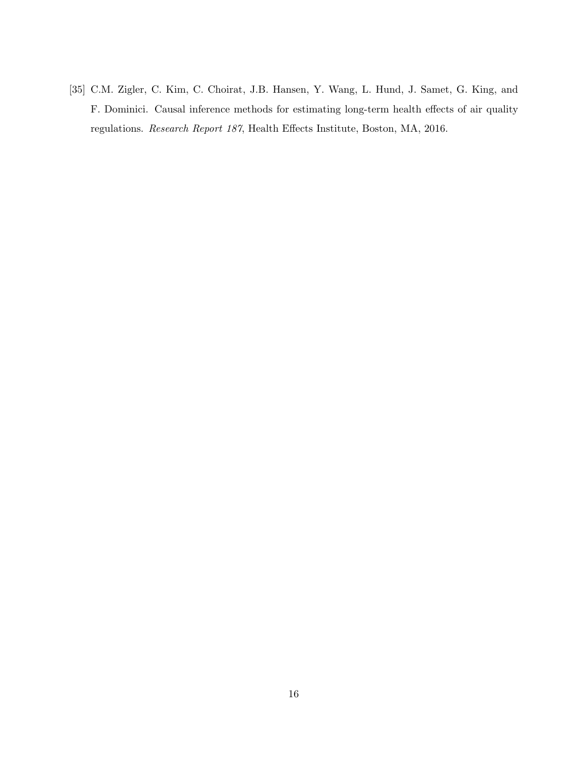[35] C.M. Zigler, C. Kim, C. Choirat, J.B. Hansen, Y. Wang, L. Hund, J. Samet, G. King, and F. Dominici. Causal inference methods for estimating long-term health effects of air quality regulations. Research Report 187, Health Effects Institute, Boston, MA, 2016.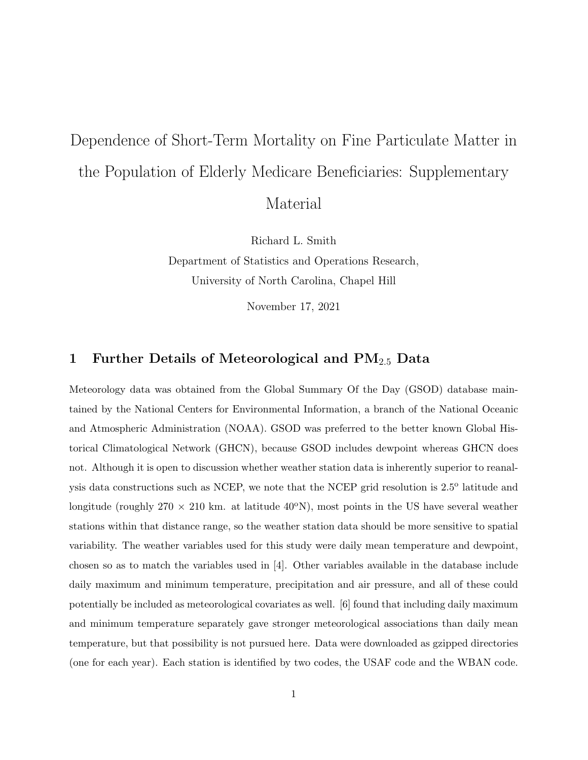# Dependence of Short-Term Mortality on Fine Particulate Matter in the Population of Elderly Medicare Beneficiaries: Supplementary

Material

Richard L. Smith

Department of Statistics and Operations Research, University of North Carolina, Chapel Hill

November 17, 2021

### 1 Further Details of Meteorological and  $PM_{2.5}$  Data

Meteorology data was obtained from the Global Summary Of the Day (GSOD) database maintained by the National Centers for Environmental Information, a branch of the National Oceanic and Atmospheric Administration (NOAA). GSOD was preferred to the better known Global Historical Climatological Network (GHCN), because GSOD includes dewpoint whereas GHCN does not. Although it is open to discussion whether weather station data is inherently superior to reanalysis data constructions such as NCEP, we note that the NCEP grid resolution is 2.5° latitude and longitude (roughly  $270 \times 210$  km. at latitude  $40^{\circ}$ N), most points in the US have several weather stations within that distance range, so the weather station data should be more sensitive to spatial variability. The weather variables used for this study were daily mean temperature and dewpoint, chosen so as to match the variables used in [4]. Other variables available in the database include daily maximum and minimum temperature, precipitation and air pressure, and all of these could potentially be included as meteorological covariates as well. [6] found that including daily maximum and minimum temperature separately gave stronger meteorological associations than daily mean temperature, but that possibility is not pursued here. Data were downloaded as gzipped directories (one for each year). Each station is identified by two codes, the USAF code and the WBAN code.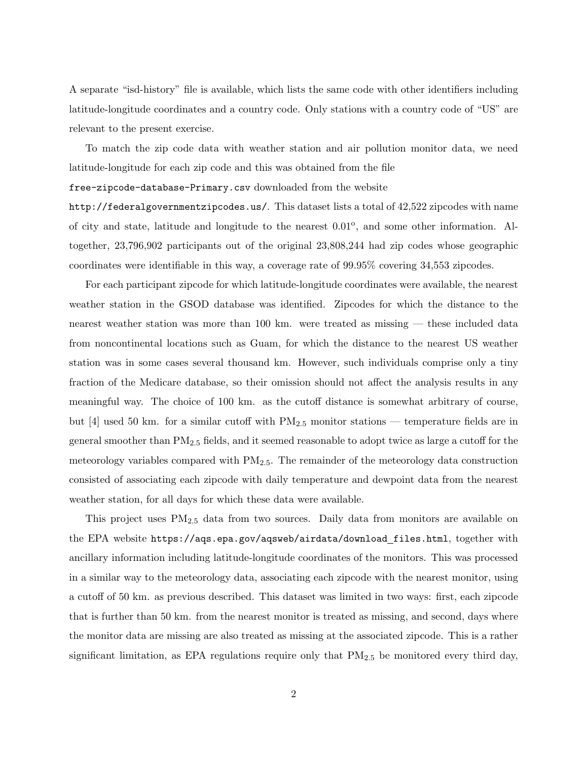A separate "isd-history" file is available, which lists the same code with other identifiers including latitude-longitude coordinates and a country code. Only stations with a country code of "US" are relevant to the present exercise.

To match the zip code data with weather station and air pollution monitor data, we need latitude-longitude for each zip code and this was obtained from the file

free-zipcode-database-Primary.csv downloaded from the website

http://federalgovernmentzipcodes.us/. This dataset lists a total of 42,522 zipcodes with name of city and state, latitude and longitude to the nearest  $0.01^{\circ}$ , and some other information. Altogether, 23,796,902 participants out of the original 23,808,244 had zip codes whose geographic coordinates were identifiable in this way, a coverage rate of 99.95% covering 34,553 zipcodes.

For each participant zipcode for which latitude-longitude coordinates were available, the nearest weather station in the GSOD database was identified. Zipcodes for which the distance to the nearest weather station was more than 100 km. were treated as missing — these included data from noncontinental locations such as Guam, for which the distance to the nearest US weather station was in some cases several thousand km. However, such individuals comprise only a tiny fraction of the Medicare database, so their omission should not affect the analysis results in any meaningful way. The choice of 100 km. as the cutoff distance is somewhat arbitrary of course, but [4] used 50 km. for a similar cutoff with  $PM_{2.5}$  monitor stations — temperature fields are in general smoother than PM2.<sup>5</sup> fields, and it seemed reasonable to adopt twice as large a cutoff for the meteorology variables compared with PM2.5. The remainder of the meteorology data construction consisted of associating each zipcode with daily temperature and dewpoint data from the nearest weather station, for all days for which these data were available.

This project uses  $PM_{2.5}$  data from two sources. Daily data from monitors are available on the EPA website https://aqs.epa.gov/aqsweb/airdata/download files.html, together with ancillary information including latitude-longitude coordinates of the monitors. This was processed in a similar way to the meteorology data, associating each zipcode with the nearest monitor, using a cutoff of 50 km. as previous described. This dataset was limited in two ways: first, each zipcode that is further than 50 km. from the nearest monitor is treated as missing, and second, days where the monitor data are missing are also treated as missing at the associated zipcode. This is a rather significant limitation, as EPA regulations require only that  $PM_{2.5}$  be monitored every third day,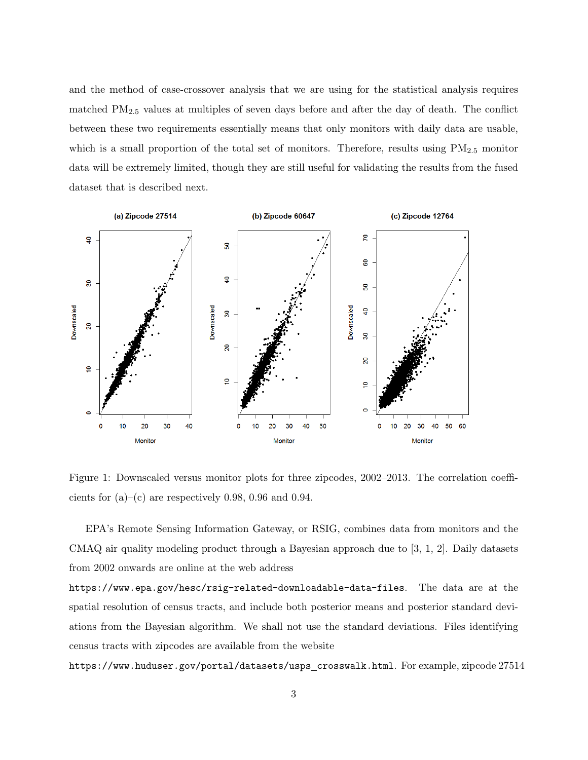and the method of case-crossover analysis that we are using for the statistical analysis requires matched PM2.<sup>5</sup> values at multiples of seven days before and after the day of death. The conflict between these two requirements essentially means that only monitors with daily data are usable, which is a small proportion of the total set of monitors. Therefore, results using  $PM_{2.5}$  monitor data will be extremely limited, though they are still useful for validating the results from the fused dataset that is described next.



Figure 1: Downscaled versus monitor plots for three zipcodes, 2002–2013. The correlation coefficients for  $(a)$ – $(c)$  are respectively 0.98, 0.96 and 0.94.

EPA's Remote Sensing Information Gateway, or RSIG, combines data from monitors and the CMAQ air quality modeling product through a Bayesian approach due to [3, 1, 2]. Daily datasets from 2002 onwards are online at the web address

https://www.epa.gov/hesc/rsig-related-downloadable-data-files. The data are at the spatial resolution of census tracts, and include both posterior means and posterior standard deviations from the Bayesian algorithm. We shall not use the standard deviations. Files identifying census tracts with zipcodes are available from the website

https://www.huduser.gov/portal/datasets/usps crosswalk.html. For example, zipcode 27514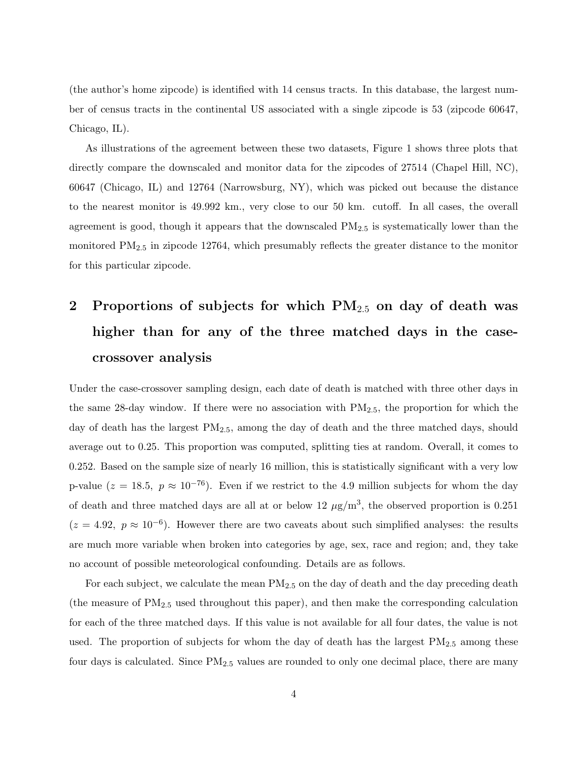(the author's home zipcode) is identified with 14 census tracts. In this database, the largest number of census tracts in the continental US associated with a single zipcode is 53 (zipcode 60647, Chicago, IL).

As illustrations of the agreement between these two datasets, Figure 1 shows three plots that directly compare the downscaled and monitor data for the zipcodes of 27514 (Chapel Hill, NC), 60647 (Chicago, IL) and 12764 (Narrowsburg, NY), which was picked out because the distance to the nearest monitor is 49.992 km., very close to our 50 km. cutoff. In all cases, the overall agreement is good, though it appears that the downscaled  $PM_{2.5}$  is systematically lower than the monitored PM2.<sup>5</sup> in zipcode 12764, which presumably reflects the greater distance to the monitor for this particular zipcode.

## 2 Proportions of subjects for which  $PM_{2.5}$  on day of death was higher than for any of the three matched days in the casecrossover analysis

Under the case-crossover sampling design, each date of death is matched with three other days in the same 28-day window. If there were no association with  $PM_{2.5}$ , the proportion for which the day of death has the largest  $PM_{2.5}$ , among the day of death and the three matched days, should average out to 0.25. This proportion was computed, splitting ties at random. Overall, it comes to 0.252. Based on the sample size of nearly 16 million, this is statistically significant with a very low p-value ( $z = 18.5$ ,  $p \approx 10^{-76}$ ). Even if we restrict to the 4.9 million subjects for whom the day of death and three matched days are all at or below 12  $\mu$ g/m<sup>3</sup>, the observed proportion is 0.251  $(z = 4.92, p \approx 10^{-6})$ . However there are two caveats about such simplified analyses: the results are much more variable when broken into categories by age, sex, race and region; and, they take no account of possible meteorological confounding. Details are as follows.

For each subject, we calculate the mean  $PM_{2.5}$  on the day of death and the day preceding death (the measure of  $PM_{2.5}$  used throughout this paper), and then make the corresponding calculation for each of the three matched days. If this value is not available for all four dates, the value is not used. The proportion of subjects for whom the day of death has the largest  $PM_{2.5}$  among these four days is calculated. Since  $PM_{2.5}$  values are rounded to only one decimal place, there are many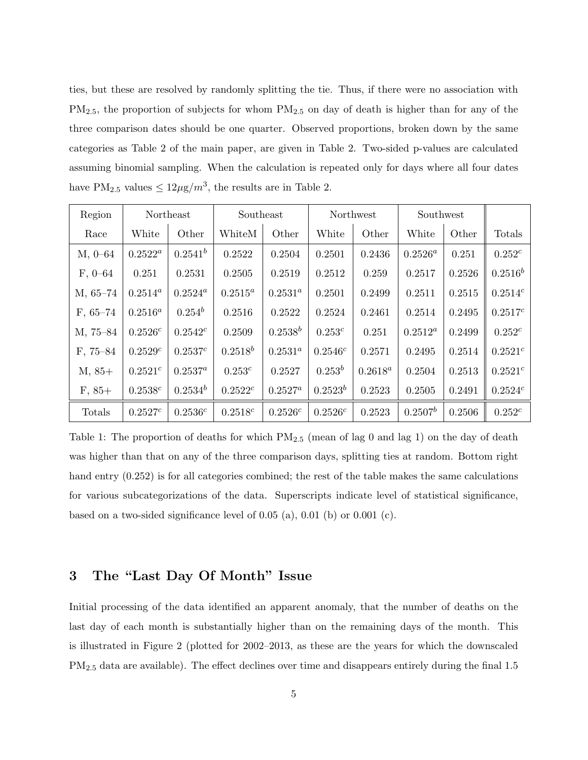ties, but these are resolved by randomly splitting the tie. Thus, if there were no association with  $PM_{2.5}$ , the proportion of subjects for whom  $PM_{2.5}$  on day of death is higher than for any of the three comparison dates should be one quarter. Observed proportions, broken down by the same categories as Table 2 of the main paper, are given in Table 2. Two-sided p-values are calculated assuming binomial sampling. When the calculation is repeated only for days where all four dates have  $PM_{2.5}$  values  $\leq 12\mu\mathrm{g}/m^3$ , the results are in Table 2.

| Region      |              | Northeast    | Southeast    |              | Northwest  |            | Southwest  |        |              |
|-------------|--------------|--------------|--------------|--------------|------------|------------|------------|--------|--------------|
| Race        | White        | Other        | WhiteM       | Other        | White      | Other      | White      | Other  | Totals       |
| $M, 0 - 64$ | $0.2522^a$   | $0.2541^{b}$ | 0.2522       | 0.2504       | 0.2501     | 0.2436     | $0.2526^a$ | 0.251  | $0.252^{c}$  |
| $F, 0-64$   | 0.251        | 0.2531       | 0.2505       | 0.2519       | 0.2512     | 0.259      | 0.2517     | 0.2526 | $0.2516^b$   |
| $M, 65-74$  | $0.2514^a$   | $0.2524^a$   | $0.2515^a$   | $0.2531^a$   | 0.2501     | 0.2499     | 0.2511     | 0.2515 | $0.2514^{c}$ |
| $F, 65-74$  | $0.2516^a$   | $0.254^b$    | 0.2516       | 0.2522       | 0.2524     | 0.2461     | 0.2514     | 0.2495 | $0.2517^{c}$ |
| M, 75-84    | 0.2526c      | $0.2542^c$   | 0.2509       | $0.2538^{b}$ | $0.253^c$  | 0.251      | $0.2512^a$ | 0.2499 | $0.252^c$    |
| $F, 75-84$  | 0.2529c      | $0.2537^{c}$ | $0.2518^{b}$ | $0.2531^a$   | $0.2546^c$ | 0.2571     | 0.2495     | 0.2514 | $0.2521^{c}$ |
| $M, 85+$    | $0.2521^{c}$ | $0.2537^a$   | $0.253^c$    | 0.2527       | $0.253^b$  | $0.2618^a$ | 0.2504     | 0.2513 | $0.2521^{c}$ |
| $F, 85+$    | 0.2538c      | $0.2534^{b}$ | $0.2522^c$   | $0.2527^a$   | $0.2523^b$ | 0.2523     | 0.2505     | 0.2491 | 0.2524c      |
| Totals      | 0.2527c      | $0.2536^{c}$ | $0.2518^c$   | $0.2526^c$   | $0.2526^c$ | 0.2523     | $0.2507^b$ | 0.2506 | $0.252^c$    |

Table 1: The proportion of deaths for which  $PM_{2.5}$  (mean of lag 0 and lag 1) on the day of death was higher than that on any of the three comparison days, splitting ties at random. Bottom right hand entry (0.252) is for all categories combined; the rest of the table makes the same calculations for various subcategorizations of the data. Superscripts indicate level of statistical significance, based on a two-sided significance level of  $0.05$  (a),  $0.01$  (b) or  $0.001$  (c).

## 3 The "Last Day Of Month" Issue

Initial processing of the data identified an apparent anomaly, that the number of deaths on the last day of each month is substantially higher than on the remaining days of the month. This is illustrated in Figure 2 (plotted for 2002–2013, as these are the years for which the downscaled PM2.<sup>5</sup> data are available). The effect declines over time and disappears entirely during the final 1.5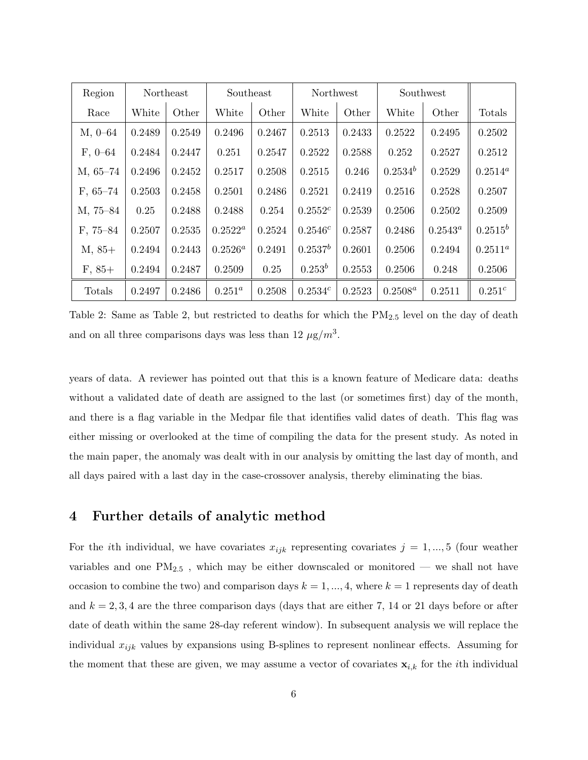| Region      |        | Northeast | Southeast  |        | Northwest  |        | Southwest    |            |             |
|-------------|--------|-----------|------------|--------|------------|--------|--------------|------------|-------------|
| Race        | White  | Other     | White      | Other  | White      | Other  | White        | Other      | Totals      |
| $M, 0-64$   | 0.2489 | 0.2549    | 0.2496     | 0.2467 | 0.2513     | 0.2433 | 0.2522       | 0.2495     | 0.2502      |
| $F, 0 - 64$ | 0.2484 | 0.2447    | 0.251      | 0.2547 | 0.2522     | 0.2588 | 0.252        | 0.2527     | 0.2512      |
| $M, 65-74$  | 0.2496 | 0.2452    | 0.2517     | 0.2508 | 0.2515     | 0.246  | $0.2534^{b}$ | 0.2529     | $0.2514^a$  |
| $F, 65-74$  | 0.2503 | 0.2458    | 0.2501     | 0.2486 | 0.2521     | 0.2419 | 0.2516       | 0.2528     | 0.2507      |
| M, 75-84    | 0.25   | 0.2488    | 0.2488     | 0.254  | $0.2552^c$ | 0.2539 | 0.2506       | 0.2502     | 0.2509      |
| $F, 75-84$  | 0.2507 | 0.2535    | $0.2522^a$ | 0.2524 | 0.2546c    | 0.2587 | 0.2486       | $0.2543^a$ | $0.2515^b$  |
| $M, 85+$    | 0.2494 | 0.2443    | $0.2526^a$ | 0.2491 | $0.2537^b$ | 0.2601 | 0.2506       | 0.2494     | $0.2511^a$  |
| $F, 85+$    | 0.2494 | 0.2487    | 0.2509     | 0.25   | $0.253^b$  | 0.2553 | 0.2506       | 0.248      | 0.2506      |
| Totals      | 0.2497 | 0.2486    | $0.251^a$  | 0.2508 | 0.2534c    | 0.2523 | $0.2508^a$   | 0.2511     | $0.251^{c}$ |

Table 2: Same as Table 2, but restricted to deaths for which the  $PM_{2.5}$  level on the day of death and on all three comparisons days was less than  $12 \mu g/m^3$ .

years of data. A reviewer has pointed out that this is a known feature of Medicare data: deaths without a validated date of death are assigned to the last (or sometimes first) day of the month, and there is a flag variable in the Medpar file that identifies valid dates of death. This flag was either missing or overlooked at the time of compiling the data for the present study. As noted in the main paper, the anomaly was dealt with in our analysis by omitting the last day of month, and all days paired with a last day in the case-crossover analysis, thereby eliminating the bias.

#### 4 Further details of analytic method

For the *i*th individual, we have covariates  $x_{ijk}$  representing covariates  $j = 1, ..., 5$  (four weather variables and one  $\text{PM}_{2.5}$ , which may be either downscaled or monitored — we shall not have occasion to combine the two) and comparison days  $k = 1, ..., 4$ , where  $k = 1$  represents day of death and  $k = 2, 3, 4$  are the three comparison days (days that are either 7, 14 or 21 days before or after date of death within the same 28-day referent window). In subsequent analysis we will replace the individual  $x_{ijk}$  values by expansions using B-splines to represent nonlinear effects. Assuming for the moment that these are given, we may assume a vector of covariates  $x_{i,k}$  for the *i*th individual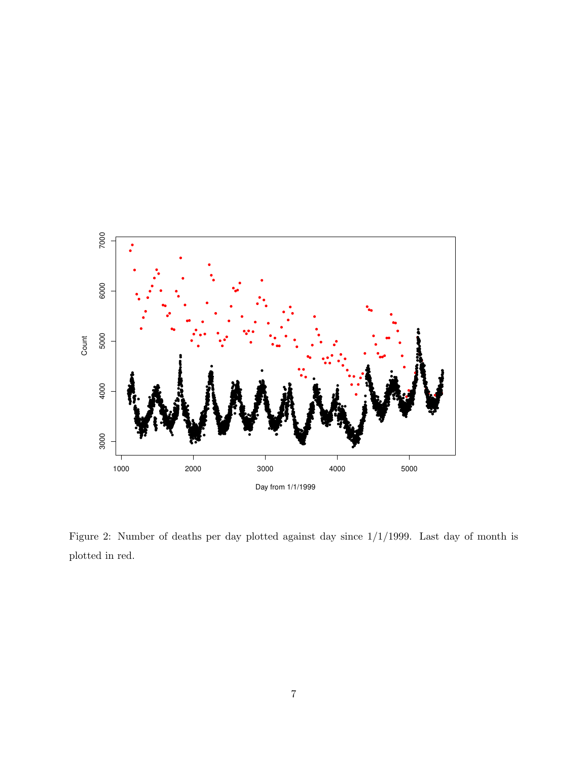

Figure 2: Number of deaths per day plotted against day since 1/1/1999. Last day of month is plotted in red.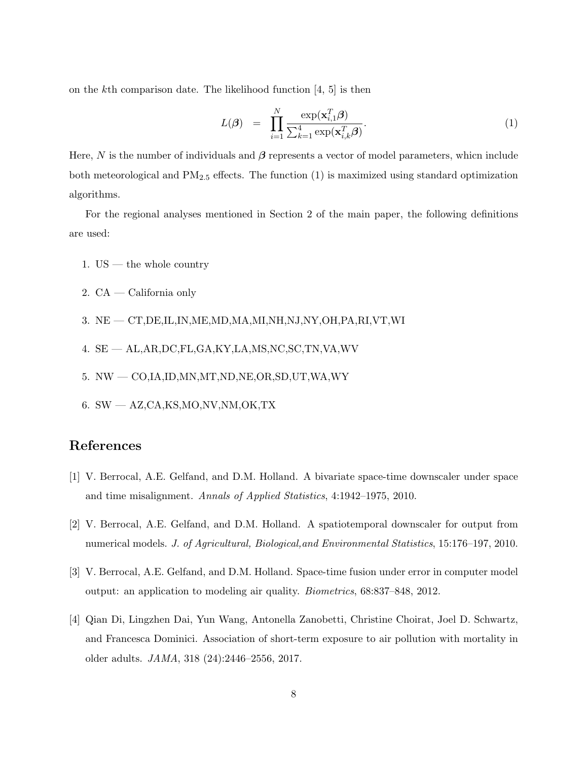on the kth comparison date. The likelihood function [4, 5] is then

$$
L(\boldsymbol{\beta}) = \prod_{i=1}^{N} \frac{\exp(\mathbf{x}_{i,1}^{T} \boldsymbol{\beta})}{\sum_{k=1}^{4} \exp(\mathbf{x}_{i,k}^{T} \boldsymbol{\beta})}.
$$
 (1)

Here, N is the number of individuals and  $\beta$  represents a vector of model parameters, whicn include both meteorological and  $PM_{2.5}$  effects. The function  $(1)$  is maximized using standard optimization algorithms.

For the regional analyses mentioned in Section 2 of the main paper, the following definitions are used:

- 1.  $US$  the whole country
- 2. CA California only
- 3. NE CT,DE,IL,IN,ME,MD,MA,MI,NH,NJ,NY,OH,PA,RI,VT,WI
- 4. SE AL,AR,DC,FL,GA,KY,LA,MS,NC,SC,TN,VA,WV
- 5. NW CO,IA,ID,MN,MT,ND,NE,OR,SD,UT,WA,WY
- 6. SW AZ,CA,KS,MO,NV,NM,OK,TX

## References

- [1] V. Berrocal, A.E. Gelfand, and D.M. Holland. A bivariate space-time downscaler under space and time misalignment. Annals of Applied Statistics, 4:1942–1975, 2010.
- [2] V. Berrocal, A.E. Gelfand, and D.M. Holland. A spatiotemporal downscaler for output from numerical models. J. of Agricultural, Biological,and Environmental Statistics, 15:176–197, 2010.
- [3] V. Berrocal, A.E. Gelfand, and D.M. Holland. Space-time fusion under error in computer model output: an application to modeling air quality. Biometrics, 68:837–848, 2012.
- [4] Qian Di, Lingzhen Dai, Yun Wang, Antonella Zanobetti, Christine Choirat, Joel D. Schwartz, and Francesca Dominici. Association of short-term exposure to air pollution with mortality in older adults. JAMA, 318 (24):2446–2556, 2017.